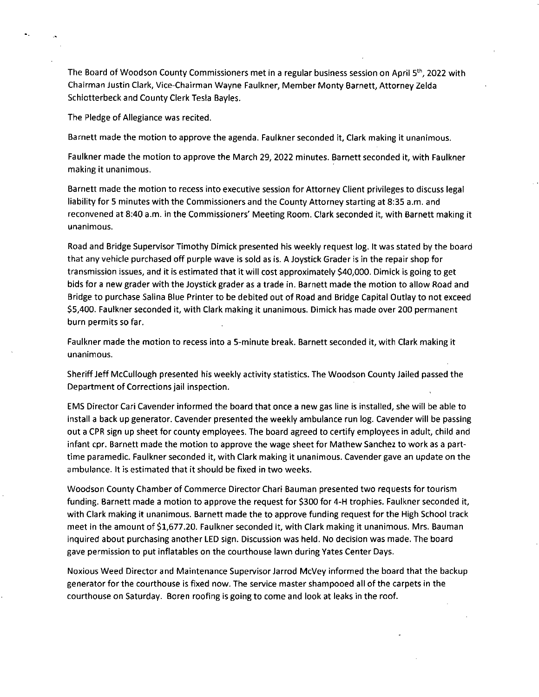The Board of Woodson County Commissioners met in a regular business session on April 5<sup>th</sup>, 2022 with Chairman Justin Clark, Vice-Chairman Wayne Faulkner, Member Monty Barnett, Attorney Zelda Schlotterbeck and County Clerk Tesla Bayles.

The Pledge of Allegiance was recited.

Barnett made the motion to approve the agenda. Faulkner seconded it, Clark making it unanimous.

Faulkner made the motion to approve the March 29, 2022 minutes. Barnett seconded it, with Faulkner making it unanimous.

Barnett made the motion to recess into executive session for Attorney Client privileges to discuss legal liability for 5 minutes with the Commissioners and the County Attorney starting at 8:35 a.m. and reconvened at 8:40 a.m. in the Commissioners' Meeting Room. Clark seconded it, with Barnett making it unanimous.

Road and Bridge Supervisor Timothy Dimick presented his weekly request log. It was stated by the board that any vehicle purchased off purple wave is sold as is. A Joystick Grader is in the repair shop for transmission issues, and it is estimated that it will cost approximately \$40,000. Dimick is going to get bids for a new grader with the Joystick grader as a trade in. Barnett made the motion to allow Road and Bridge to purchase Salina Blue Printer to be debited out of Road and Bridge Capital Outlay to not exceed \$5,400. Faulkner seconded it, with Clark making it unanimous. Dimick has made over 200 permanent burn permits so far.

Faulkner made the motion to recess into a 5-minute break. Barnett seconded it, with Clark making it unanimous.

Sheriff Jeff McCullough presented his weekly activity statistics. The Woodson County Jailed passed the Department of Corrections jail inspection.

EMS Director Cari Cavender informed the board that once a new gas line is installed, she will be able to install a back up generator. Cavender presented the weekly ambulance run log. Cavender will be passing out a CPR sign up sheet for county employees. The board agreed to certify employees in adult, child and infant cpr. Barnett made the motion to approve the wage sheet for Mathew Sanchez to work as a parttime paramedic. Faulkner seconded it, with Clark making it unanimous. Cavender gave an update on the ambulance. It is estimated that it should be fixed in two weeks.

Woodson County Chamber of Commerce Director Chari Bauman presented two requests for tourism funding. Barnett made a motion to approve the request for \$300 for 4-H trophies. Faulkner seconded it, with Clark making it unanimous. Barnett made the to approve funding request for the High School track meet in the amount of \$1,677.20. Faulkner seconded it, with Clark making it unanimous. Mrs. Bauman inquired about purchasing another LED sign. Discussion was held. No decision was made. The board gave permission to put inflatables on the courthouse lawn during Yates Center Days.

Noxious Weed Director and Maintenance Supervisor Jarrod McVey informed the board that the backup generator for the courthouse is fixed now. The service master shampooed all of the carpets in the courthouse on Saturday. Boren roofing is going to come and look at leaks in the roof.